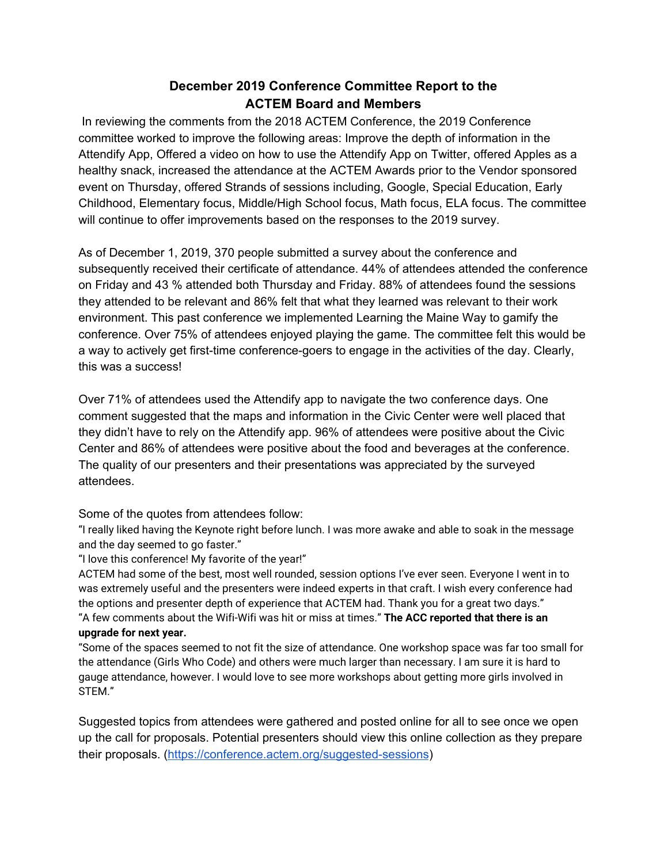## **December 2019 Conference Committee Report to the ACTEM Board and Members**

In reviewing the comments from the 2018 ACTEM Conference, the 2019 Conference committee worked to improve the following areas: Improve the depth of information in the Attendify App, Offered a video on how to use the Attendify App on Twitter, offered Apples as a healthy snack, increased the attendance at the ACTEM Awards prior to the Vendor sponsored event on Thursday, offered Strands of sessions including, Google, Special Education, Early Childhood, Elementary focus, Middle/High School focus, Math focus, ELA focus. The committee will continue to offer improvements based on the responses to the 2019 survey.

As of December 1, 2019, 370 people submitted a survey about the conference and subsequently received their certificate of attendance. 44% of attendees attended the conference on Friday and 43 % attended both Thursday and Friday. 88% of attendees found the sessions they attended to be relevant and 86% felt that what they learned was relevant to their work environment. This past conference we implemented Learning the Maine Way to gamify the conference. Over 75% of attendees enjoyed playing the game. The committee felt this would be a way to actively get first-time conference-goers to engage in the activities of the day. Clearly, this was a success!

Over 71% of attendees used the Attendify app to navigate the two conference days. One comment suggested that the maps and information in the Civic Center were well placed that they didn't have to rely on the Attendify app. 96% of attendees were positive about the Civic Center and 86% of attendees were positive about the food and beverages at the conference. The quality of our presenters and their presentations was appreciated by the surveyed attendees.

## Some of the quotes from attendees follow:

"I really liked having the Keynote right before lunch. I was more awake and able to soak in the message and the day seemed to go faster."

## "I love this conference! My favorite of the year!"

ACTEM had some of the best, most well rounded, session options I've ever seen. Everyone I went in to was extremely useful and the presenters were indeed experts in that craft. I wish every conference had the options and presenter depth of experience that ACTEM had. Thank you for a great two days." "A few comments about the Wifi-Wifi was hit or miss at times." **The ACC reported that there is an upgrade for next year.**

"Some of the spaces seemed to not fit the size of attendance. One workshop space was far too small for the attendance (Girls Who Code) and others were much larger than necessary. I am sure it is hard to gauge attendance, however. I would love to see more workshops about getting more girls involved in STEM."

Suggested topics from attendees were gathered and posted online for all to see once we open up the call for proposals. Potential presenters should view this online collection as they prepare their proposals. (<https://conference.actem.org/suggested-sessions>)